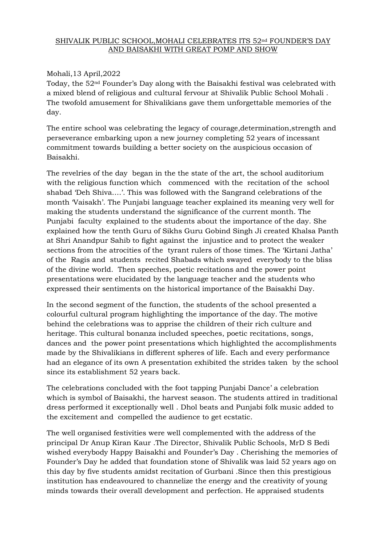## SHIVALIK PUBLIC SCHOOL, MOHALI CELEBRATES ITS 52<sup>nd</sup> FOUNDER'S DAY AND BAISAKHI WITH GREAT POMP AND SHOW

## Mohali,13 April,2022

Today, the 52nd Founder's Day along with the Baisakhi festival was celebrated with a mixed blend of religious and cultural fervour at Shivalik Public School Mohali . The twofold amusement for Shivalikians gave them unforgettable memories of the day.

The entire school was celebrating the legacy of courage,determination,strength and perseverance embarking upon a new journey completing 52 years of incessant commitment towards building a better society on the auspicious occasion of Baisakhi.

The revelries of the day began in the the state of the art, the school auditorium with the religious function which commenced with the recitation of the school shabad 'Deh Shiva….'. This was followed with the Sangrand celebrations of the month 'Vaisakh'. The Punjabi language teacher explained its meaning very well for making the students understand the significance of the current month. The Punjabi faculty explained to the students about the importance of the day. She explained how the tenth Guru of Sikhs Guru Gobind Singh Ji created Khalsa Panth at Shri Anandpur Sahib to fight against the injustice and to protect the weaker sections from the atrocities of the tyrant rulers of those times. The 'Kirtani Jatha' of the Ragis and students recited Shabads which swayed everybody to the bliss of the divine world. Then speeches, poetic recitations and the power point presentations were elucidated by the language teacher and the students who expressed their sentiments on the historical importance of the Baisakhi Day.

In the second segment of the function, the students of the school presented a colourful cultural program highlighting the importance of the day. The motive behind the celebrations was to apprise the children of their rich culture and heritage. This cultural bonanza included speeches, poetic recitations, songs, dances and the power point presentations which highlighted the accomplishments made by the Shivalikians in different spheres of life. Each and every performance had an elegance of its own A presentation exhibited the strides taken by the school since its establishment 52 years back.

The celebrations concluded with the foot tapping Punjabi Dance' a celebration which is symbol of Baisakhi, the harvest season. The students attired in traditional dress performed it exceptionally well . Dhol beats and Punjabi folk music added to the excitement and compelled the audience to get ecstatic.

The well organised festivities were well complemented with the address of the principal Dr Anup Kiran Kaur .The Director, Shivalik Public Schools, MrD S Bedi wished everybody Happy Baisakhi and Founder's Day . Cherishing the memories of Founder's Day he added that foundation stone of Shivalik was laid 52 years ago on this day by five students amidst recitation of Gurbani .Since then this prestigious institution has endeavoured to channelize the energy and the creativity of young minds towards their overall development and perfection. He appraised students